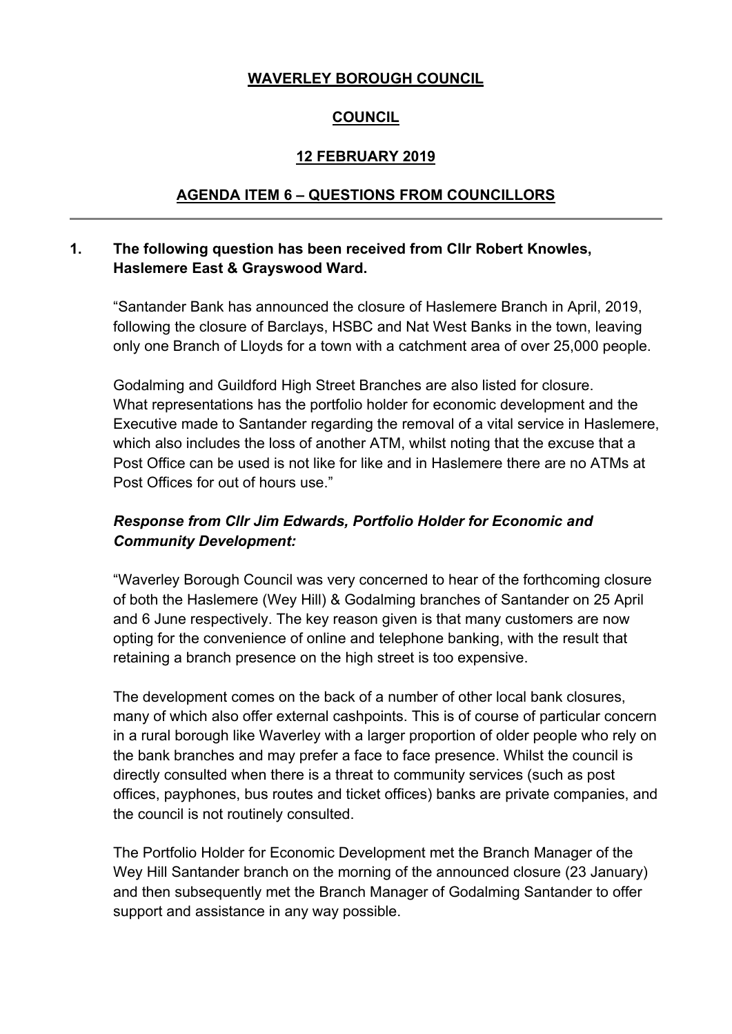### **WAVERLEY BOROUGH COUNCIL**

## **COUNCIL**

## **12 FEBRUARY 2019**

#### **AGENDA ITEM 6 – QUESTIONS FROM COUNCILLORS**

## **1. The following question has been received from Cllr Robert Knowles, Haslemere East & Grayswood Ward.**

"Santander Bank has announced the closure of Haslemere Branch in April, 2019, following the closure of Barclays, HSBC and Nat West Banks in the town, leaving only one Branch of Lloyds for a town with a catchment area of over 25,000 people.

Godalming and Guildford High Street Branches are also listed for closure. What representations has the portfolio holder for economic development and the Executive made to Santander regarding the removal of a vital service in Haslemere, which also includes the loss of another ATM, whilst noting that the excuse that a Post Office can be used is not like for like and in Haslemere there are no ATMs at Post Offices for out of hours use."

## *Response from Cllr Jim Edwards, Portfolio Holder for Economic and Community Development:*

"Waverley Borough Council was very concerned to hear of the forthcoming closure of both the Haslemere (Wey Hill) & Godalming branches of Santander on 25 April and 6 June respectively. The key reason given is that many customers are now opting for the convenience of online and telephone banking, with the result that retaining a branch presence on the high street is too expensive.

The development comes on the back of a number of other local bank closures, many of which also offer external cashpoints. This is of course of particular concern in a rural borough like Waverley with a larger proportion of older people who rely on the bank branches and may prefer a face to face presence. Whilst the council is directly consulted when there is a threat to community services (such as post offices, payphones, bus routes and ticket offices) banks are private companies, and the council is not routinely consulted.

The Portfolio Holder for Economic Development met the Branch Manager of the Wey Hill Santander branch on the morning of the announced closure (23 January) and then subsequently met the Branch Manager of Godalming Santander to offer support and assistance in any way possible.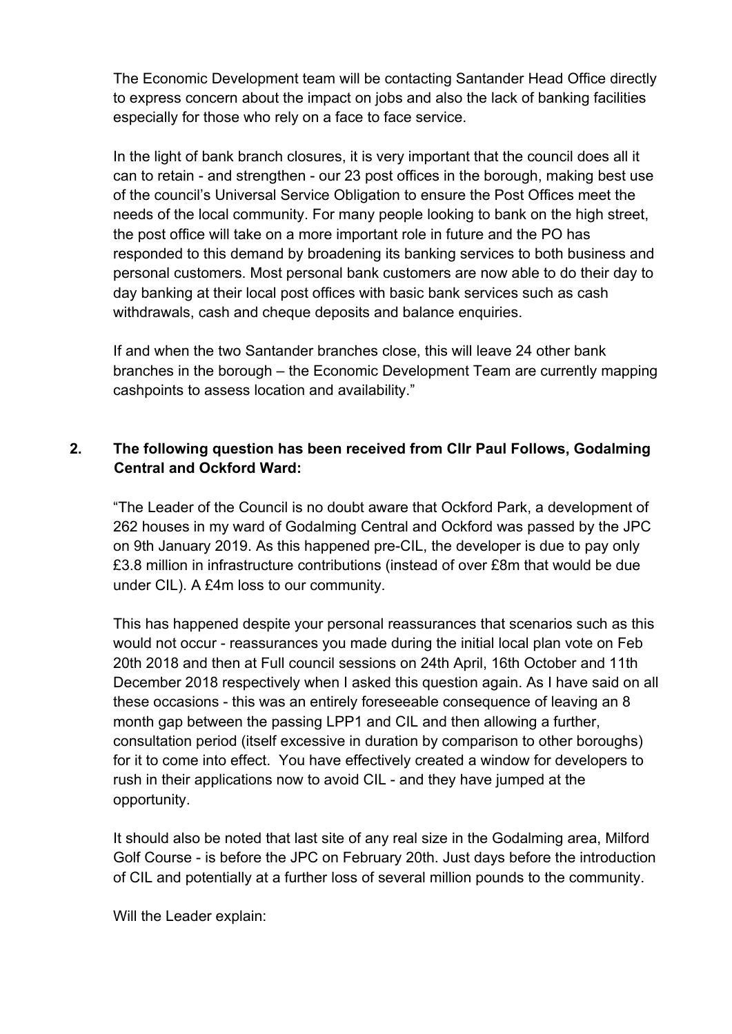The Economic Development team will be contacting Santander Head Office directly to express concern about the impact on jobs and also the lack of banking facilities especially for those who rely on a face to face service.

In the light of bank branch closures, it is very important that the council does all it can to retain - and strengthen - our 23 post offices in the borough, making best use of the council's Universal Service Obligation to ensure the Post Offices meet the needs of the local community. For many people looking to bank on the high street, the post office will take on a more important role in future and the PO has responded to this demand by broadening its banking services to both business and personal customers. Most personal bank customers are now able to do their day to day banking at their local post offices with basic bank services such as cash withdrawals, cash and cheque deposits and balance enquiries.

If and when the two Santander branches close, this will leave 24 other bank branches in the borough – the Economic Development Team are currently mapping cashpoints to assess location and availability."

# **2. The following question has been received from Cllr Paul Follows, Godalming Central and Ockford Ward:**

"The Leader of the Council is no doubt aware that Ockford Park, a development of 262 houses in my ward of Godalming Central and Ockford was passed by the JPC on 9th January 2019. As this happened pre-CIL, the developer is due to pay only £3.8 million in infrastructure contributions (instead of over £8m that would be due under CIL). A £4m loss to our community.

This has happened despite your personal reassurances that scenarios such as this would not occur - reassurances you made during the initial local plan vote on Feb 20th 2018 and then at Full council sessions on 24th April, 16th October and 11th December 2018 respectively when I asked this question again. As I have said on all these occasions - this was an entirely foreseeable consequence of leaving an 8 month gap between the passing LPP1 and CIL and then allowing a further, consultation period (itself excessive in duration by comparison to other boroughs) for it to come into effect. You have effectively created a window for developers to rush in their applications now to avoid CIL - and they have jumped at the opportunity.

It should also be noted that last site of any real size in the Godalming area, Milford Golf Course - is before the JPC on February 20th. Just days before the introduction of CIL and potentially at a further loss of several million pounds to the community.

Will the Leader explain: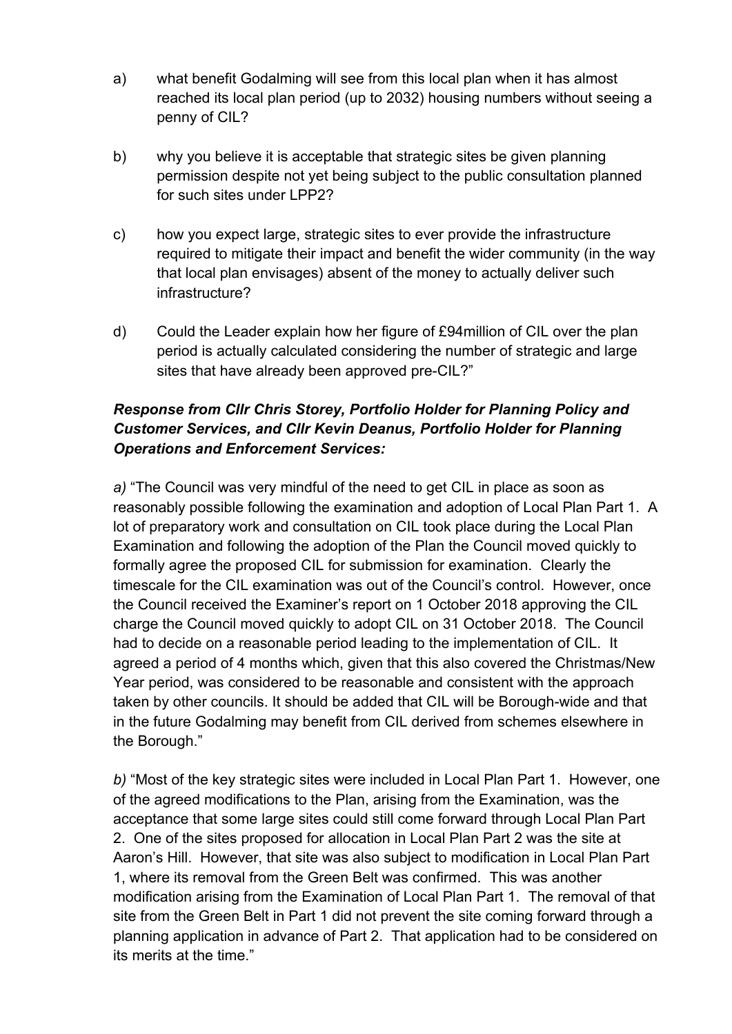- a) what benefit Godalming will see from this local plan when it has almost reached its local plan period (up to 2032) housing numbers without seeing a penny of CIL?
- b) why you believe it is acceptable that strategic sites be given planning permission despite not yet being subject to the public consultation planned for such sites under LPP2?
- c) how you expect large, strategic sites to ever provide the infrastructure required to mitigate their impact and benefit the wider community (in the way that local plan envisages) absent of the money to actually deliver such infrastructure?
- d) Could the Leader explain how her figure of £94million of CIL over the plan period is actually calculated considering the number of strategic and large sites that have already been approved pre-CIL?"

# *Response from Cllr Chris Storey, Portfolio Holder for Planning Policy and Customer Services, and Cllr Kevin Deanus, Portfolio Holder for Planning Operations and Enforcement Services:*

*a)* "The Council was very mindful of the need to get CIL in place as soon as reasonably possible following the examination and adoption of Local Plan Part 1. A lot of preparatory work and consultation on CIL took place during the Local Plan Examination and following the adoption of the Plan the Council moved quickly to formally agree the proposed CIL for submission for examination. Clearly the timescale for the CIL examination was out of the Council's control. However, once the Council received the Examiner's report on 1 October 2018 approving the CIL charge the Council moved quickly to adopt CIL on 31 October 2018. The Council had to decide on a reasonable period leading to the implementation of CIL. It agreed a period of 4 months which, given that this also covered the Christmas/New Year period, was considered to be reasonable and consistent with the approach taken by other councils. It should be added that CIL will be Borough-wide and that in the future Godalming may benefit from CIL derived from schemes elsewhere in the Borough."

*b)* "Most of the key strategic sites were included in Local Plan Part 1. However, one of the agreed modifications to the Plan, arising from the Examination, was the acceptance that some large sites could still come forward through Local Plan Part 2. One of the sites proposed for allocation in Local Plan Part 2 was the site at Aaron's Hill. However, that site was also subject to modification in Local Plan Part 1, where its removal from the Green Belt was confirmed. This was another modification arising from the Examination of Local Plan Part 1. The removal of that site from the Green Belt in Part 1 did not prevent the site coming forward through a planning application in advance of Part 2. That application had to be considered on its merits at the time."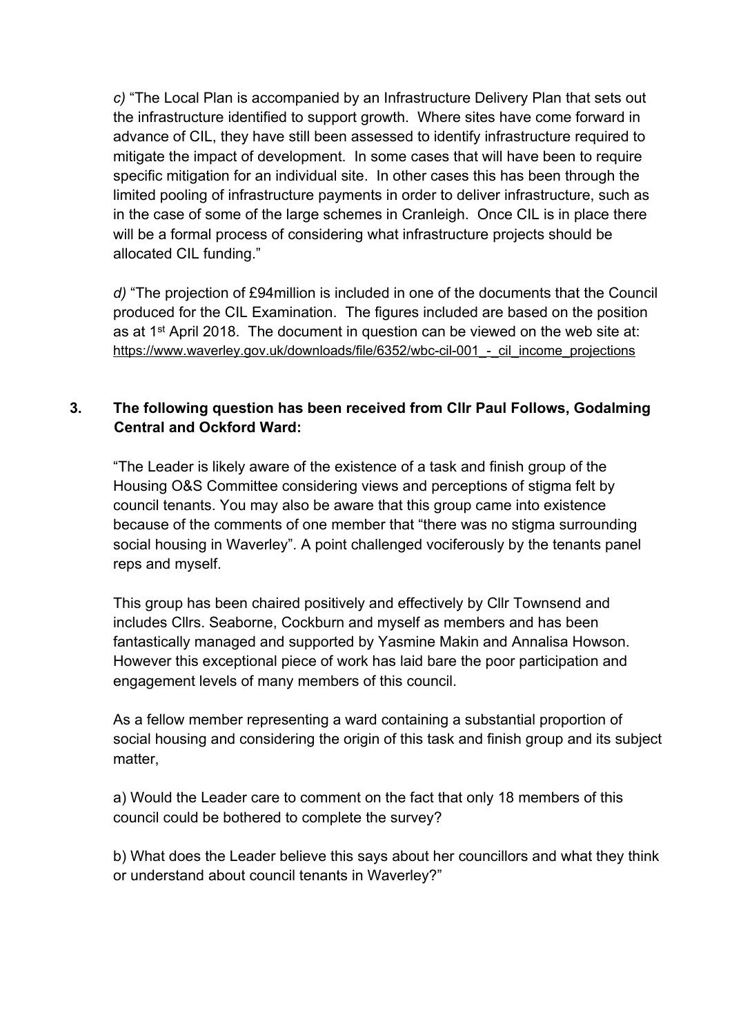*c)* "The Local Plan is accompanied by an Infrastructure Delivery Plan that sets out the infrastructure identified to support growth. Where sites have come forward in advance of CIL, they have still been assessed to identify infrastructure required to mitigate the impact of development. In some cases that will have been to require specific mitigation for an individual site. In other cases this has been through the limited pooling of infrastructure payments in order to deliver infrastructure, such as in the case of some of the large schemes in Cranleigh. Once CIL is in place there will be a formal process of considering what infrastructure projects should be allocated CIL funding."

*d)* "The projection of £94million is included in one of the documents that the Council produced for the CIL Examination. The figures included are based on the position as at 1<sup>st</sup> April 2018. The document in question can be viewed on the web site at: https://www.waverley.gov.uk/downloads/file/6352/wbc-cil-001 - cil\_income\_projections

# **3. The following question has been received from Cllr Paul Follows, Godalming Central and Ockford Ward:**

"The Leader is likely aware of the existence of a task and finish group of the Housing O&S Committee considering views and perceptions of stigma felt by council tenants. You may also be aware that this group came into existence because of the comments of one member that "there was no stigma surrounding social housing in Waverley". A point challenged vociferously by the tenants panel reps and myself.

This group has been chaired positively and effectively by Cllr Townsend and includes Cllrs. Seaborne, Cockburn and myself as members and has been fantastically managed and supported by Yasmine Makin and Annalisa Howson. However this exceptional piece of work has laid bare the poor participation and engagement levels of many members of this council.

As a fellow member representing a ward containing a substantial proportion of social housing and considering the origin of this task and finish group and its subject matter,

a) Would the Leader care to comment on the fact that only 18 members of this council could be bothered to complete the survey?

b) What does the Leader believe this says about her councillors and what they think or understand about council tenants in Waverley?"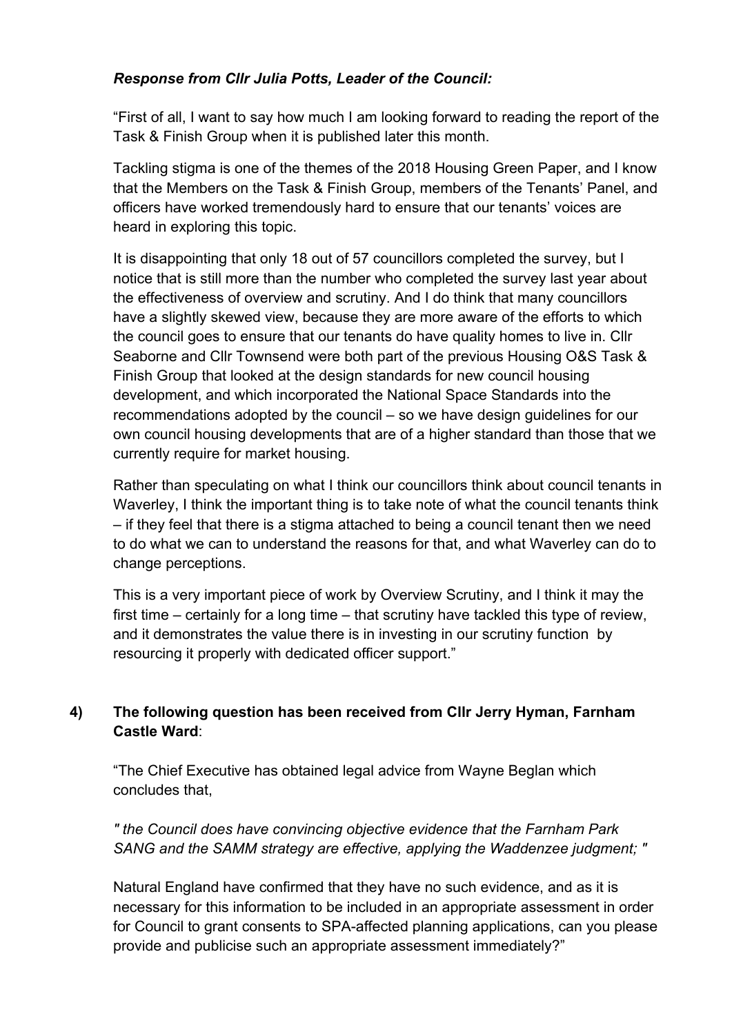# *Response from Cllr Julia Potts, Leader of the Council:*

"First of all, I want to say how much I am looking forward to reading the report of the Task & Finish Group when it is published later this month.

Tackling stigma is one of the themes of the 2018 Housing Green Paper, and I know that the Members on the Task & Finish Group, members of the Tenants' Panel, and officers have worked tremendously hard to ensure that our tenants' voices are heard in exploring this topic.

It is disappointing that only 18 out of 57 councillors completed the survey, but I notice that is still more than the number who completed the survey last year about the effectiveness of overview and scrutiny. And I do think that many councillors have a slightly skewed view, because they are more aware of the efforts to which the council goes to ensure that our tenants do have quality homes to live in. Cllr Seaborne and Cllr Townsend were both part of the previous Housing O&S Task & Finish Group that looked at the design standards for new council housing development, and which incorporated the National Space Standards into the recommendations adopted by the council – so we have design guidelines for our own council housing developments that are of a higher standard than those that we currently require for market housing.

Rather than speculating on what I think our councillors think about council tenants in Waverley, I think the important thing is to take note of what the council tenants think – if they feel that there is a stigma attached to being a council tenant then we need to do what we can to understand the reasons for that, and what Waverley can do to change perceptions.

This is a very important piece of work by Overview Scrutiny, and I think it may the first time – certainly for a long time – that scrutiny have tackled this type of review, and it demonstrates the value there is in investing in our scrutiny function by resourcing it properly with dedicated officer support."

# **4) The following question has been received from Cllr Jerry Hyman, Farnham Castle Ward**:

"The Chief Executive has obtained legal advice from Wayne Beglan which concludes that,

*" the Council does have convincing objective evidence that the Farnham Park SANG and the SAMM strategy are effective, applying the Waddenzee judgment; "*

Natural England have confirmed that they have no such evidence, and as it is necessary for this information to be included in an appropriate assessment in order for Council to grant consents to SPA-affected planning applications, can you please provide and publicise such an appropriate assessment immediately?"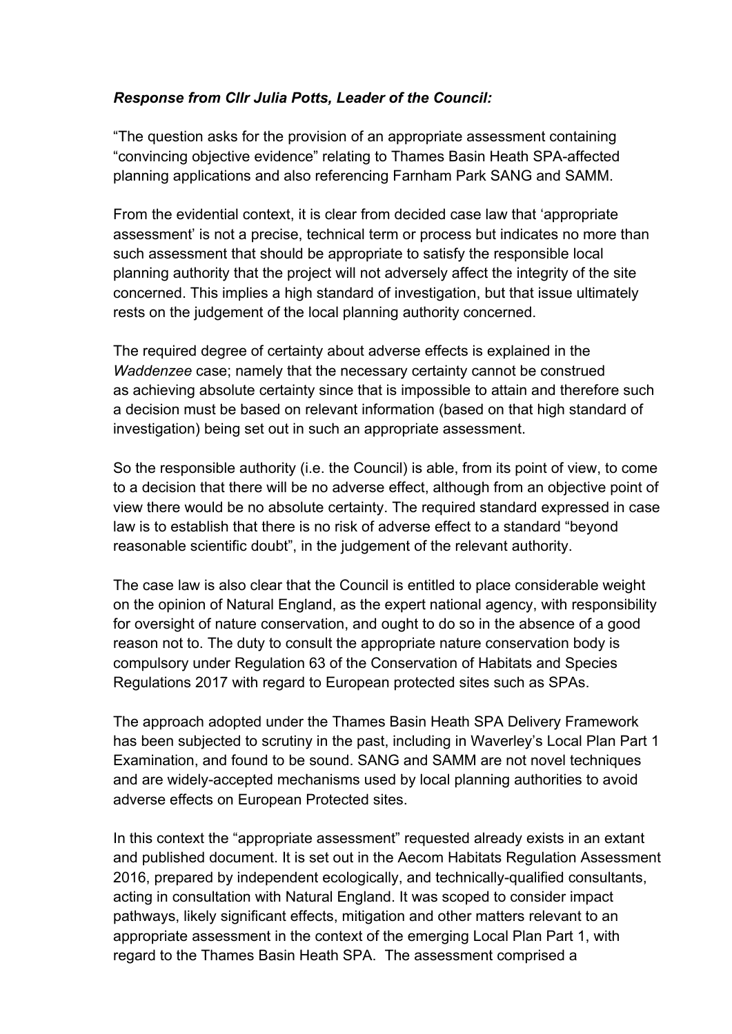# *Response from Cllr Julia Potts, Leader of the Council:*

"The question asks for the provision of an appropriate assessment containing "convincing objective evidence" relating to Thames Basin Heath SPA-affected planning applications and also referencing Farnham Park SANG and SAMM.

From the evidential context, it is clear from decided case law that 'appropriate assessment' is not a precise, technical term or process but indicates no more than such assessment that should be appropriate to satisfy the responsible local planning authority that the project will not adversely affect the integrity of the site concerned. This implies a high standard of investigation, but that issue ultimately rests on the judgement of the local planning authority concerned.

The required degree of certainty about adverse effects is explained in the *Waddenzee* case; namely that the necessary certainty cannot be construed as achieving absolute certainty since that is impossible to attain and therefore such a decision must be based on relevant information (based on that high standard of investigation) being set out in such an appropriate assessment.

So the responsible authority (i.e. the Council) is able, from its point of view, to come to a decision that there will be no adverse effect, although from an objective point of view there would be no absolute certainty. The required standard expressed in case law is to establish that there is no risk of adverse effect to a standard "beyond reasonable scientific doubt", in the judgement of the relevant authority.

The case law is also clear that the Council is entitled to place considerable weight on the opinion of Natural England, as the expert national agency, with responsibility for oversight of nature conservation, and ought to do so in the absence of a good reason not to. The duty to consult the appropriate nature conservation body is compulsory under Regulation 63 of the Conservation of Habitats and Species Regulations 2017 with regard to European protected sites such as SPAs.

The approach adopted under the Thames Basin Heath SPA Delivery Framework has been subjected to scrutiny in the past, including in Waverley's Local Plan Part 1 Examination, and found to be sound. SANG and SAMM are not novel techniques and are widely-accepted mechanisms used by local planning authorities to avoid adverse effects on European Protected sites.

In this context the "appropriate assessment" requested already exists in an extant and published document. It is set out in the Aecom Habitats Regulation Assessment 2016, prepared by independent ecologically, and technically-qualified consultants, acting in consultation with Natural England. It was scoped to consider impact pathways, likely significant effects, mitigation and other matters relevant to an appropriate assessment in the context of the emerging Local Plan Part 1, with regard to the Thames Basin Heath SPA. The assessment comprised a